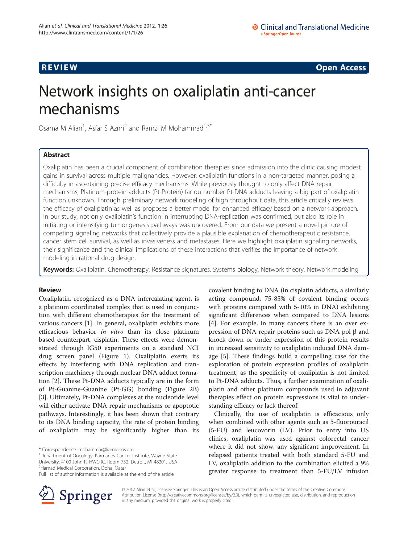R EVI EW Open Access

# Network insights on oxaliplatin anti-cancer mechanisms

Osama M Alian<sup>1</sup>, Asfar S Azmi<sup>2</sup> and Ramzi M Mohammad<sup>1,3\*</sup>

# Abstract

Oxaliplatin has been a crucial component of combination therapies since admission into the clinic causing modest gains in survival across multiple malignancies. However, oxaliplatin functions in a non-targeted manner, posing a difficulty in ascertaining precise efficacy mechanisms. While previously thought to only affect DNA repair mechanisms, Platinum-protein adducts (Pt-Protein) far outnumber Pt-DNA adducts leaving a big part of oxaliplatin function unknown. Through preliminary network modeling of high throughput data, this article critically reviews the efficacy of oxaliplatin as well as proposes a better model for enhanced efficacy based on a network approach. In our study, not only oxaliplatin's function in interrupting DNA-replication was confirmed, but also its role in initiating or intensifying tumorigenesis pathways was uncovered. From our data we present a novel picture of competing signaling networks that collectively provide a plausible explanation of chemotherapeutic resistance, cancer stem cell survival, as well as invasiveness and metastases. Here we highlight oxaliplatin signaling networks, their significance and the clinical implications of these interactions that verifies the importance of network modeling in rational drug design.

Keywords: Oxaliplatin, Chemotherapy, Resistance signatures, Systems biology, Network theory, Network modeling

# Review

Oxaliplatin, recognized as a DNA intercalating agent, is a platinum coordinated complex that is used in conjunction with different chemotherapies for the treatment of various cancers [[1\]](#page-5-0). In general, oxaliplatin exhibits more efficacious behavior in vitro than its close platinum based counterpart, cisplatin. These effects were demonstrated through IG50 experiments on a standard NCI drug screen panel (Figure [1](#page-1-0)). Oxaliplatin exerts its effects by interfering with DNA replication and transcription machinery through nuclear DNA adduct formation [\[2](#page-5-0)]. These Pt-DNA adducts typically are in the form of Pt-Guanine-Guanine (Pt-GG) bonding (Figure [2B](#page-2-0)) [[3\]](#page-5-0). Ultimately, Pt-DNA complexes at the nucleotide level will either activate DNA repair mechanisms or apoptotic pathways. Interestingly, it has been shown that contrary to its DNA binding capacity, the rate of protein binding of oxaliplatin may be significantly higher than its

Full list of author information is available at the end of the article



covalent binding to DNA (in cisplatin adducts, a similarly acting compound, 75-85% of covalent binding occurs with proteins compared with 5-10% in DNA) exhibiting significant differences when compared to DNA lesions [[4\]](#page-5-0). For example, in many cancers there is an over expression of DNA repair proteins such as DNA pol β and knock down or under expression of this protein results in increased sensitivity to oxaliplatin induced DNA damage [[5\]](#page-5-0). These findings build a compelling case for the exploration of protein expression profiles of oxaliplatin treatment, as the specificity of oxaliplatin is not limited to Pt-DNA adducts. Thus, a further examination of oxaliplatin and other platinum compounds used in adjuvant therapies effect on protein expressions is vital to understanding efficacy or lack thereof.

Clinically, the use of oxaliplatin is efficacious only when combined with other agents such as 5-fluorouracil (5-FU) and leucovorin (LV). Prior to entry into US clinics, oxaliplatin was used against colorectal cancer where it did not show, any significant improvement. In relapsed patients treated with both standard 5-FU and LV, oxaliplatin addition to the combination elicited a 9% greater response to treatment than 5-FU/LV infusion

© 2012 Alian et al.; licensee Springer. This is an Open Access article distributed under the terms of the Creative Commons Attribution License [\(http://creativecommons.org/licenses/by/2.0\)](http://creativecommons.org/licenses/by/2.0), which permits unrestricted use, distribution, and reproduction in any medium, provided the original work is properly cited.

<sup>\*</sup> Correspondence: [mohammar@karmanos.org](mailto:mohammar@karmanos.org) <sup>1</sup>

Department of Oncology, Karmanos Cancer Institute, Wayne State University, 4100 John R, HWCRC, Room 732, Detroit, MI 48201, USA 3 Hamad Medical Corporation, Doha, Qatar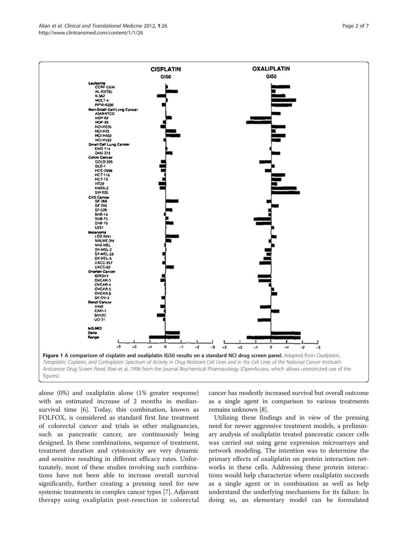<span id="page-1-0"></span>

alone (0%) and oxaliplatin alone (1% greater response) with an estimated increase of 2 months in mediansurvival time [[6\]](#page-5-0). Today, this combination, known as FOLFOX, is considered as standard first line treatment of colorectal cancer and trials in other malignancies, such as pancreatic cancer, are continuously being designed. In these combinations, sequence of treatment, treatment duration and cytotoxicity are very dynamic and sensitive resulting in different efficacy rates. Unfortunately, most of these studies involving such combinations have not been able to increase overall survival significantly, further creating a pressing need for new systemic treatments in complex cancer types [\[7\]](#page-5-0). Adjuvant therapy using oxaliplatin post-resection in colorectal cancer has modestly increased survival but overall outcome as a single agent in comparison to various treatments remains unknown [[8\]](#page-5-0).

Utilizing these findings and in view of the pressing need for newer aggressive treatment models, a preliminary analysis of oxaliplatin treated pancreatic cancer cells was carried out using gene expression microarrays and network modeling. The intention was to determine the primary effects of oxaliplatin on protein interaction networks in these cells. Addressing these protein interactions would help characterize where oxaliplatin succeeds as a single agent or in combination as well as help understand the underlying mechanisms for its failure. In doing so, an elementary model can be formulated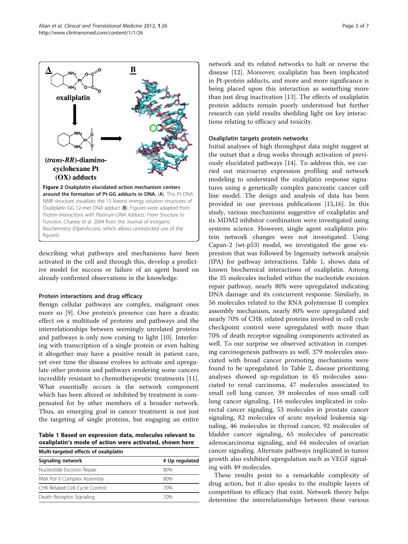<span id="page-2-0"></span>

describing what pathways and mechanisms have been activated in the cell and through this, develop a predictive model for success or failure of an agent based on already confirmed observations in the knowledge.

#### Protein interactions and drug efficacy

Benign cellular pathways are complex, malignant ones more so [[9](#page-5-0)]. One protein's presence can have a drastic effect on a multitude of proteins and pathways and the interrelationships between seemingly unrelated proteins and pathways is only now coming to light [[10\]](#page-5-0). Interfering with transcription of a single protein or even halting it altogether may have a positive result in patient care, yet over time the disease evolves to activate and upregulate other proteins and pathways rendering some cancers incredibly resistant to chemotherapeutic treatments [\[11](#page-5-0)]. What essentially occurs is the network component which has been altered or inhibited by treatment is compensated for by other members of a broader network. Thus, an emerging goal in cancer treatment is not just the targeting of single proteins, but engaging an entire

Table 1 Based on expression data, molecules relevant to oxaliplatin's mode of action were activated, shown here Multi-targeted effects of oxaliplatin

| Multi-targeted effects of oxamplatin |                |  |
|--------------------------------------|----------------|--|
| Signaling network                    | # Up regulated |  |
| Nucleotide Excision Repair           | 80%            |  |
| RNA Pol II Complex Assembly          | 80%            |  |
| CHK Related Cell Cycle Control       | 70%            |  |
| Death Receptor Signaling             | 70%            |  |

network and its related networks to halt or reverse the disease [\[12\]](#page-5-0). Moreover, oxaliplatin has been implicated in Pt-protein adducts, and more and more significance is being placed upon this interaction as something more than just drug inactivation [[13\]](#page-5-0). The effects of oxaliplatin protein adducts remain poorly understood but further research can yield results shedding light on key interactions relating to efficacy and toxicity.

#### Oxaliplatin targets protein networks

Initial analyses of high throughput data might suggest at the outset that a drug works through activation of previously elucidated pathways [[14\]](#page-5-0). To address this, we carried out microarray expression profiling and network modeling to understand the oxaliplatin response signatures using a genetically complex pancreatic cancer cell line model. The design and analysis of data has been provided in our previous publications [\[15,16\]](#page-5-0). In this study, various mechanisms suggestive of oxaliplatin and its MDM2 inhibitor combination were investigated using systems science. However, single agent oxaliplatin protein network changes were not investigated. Using Capan-2 (wt-p53) model, we investigated the gene expression that was followed by Ingenuity network analysis (IPA) for pathway interactions. Table 1, shows data of known biochemical interactions of oxaliplatin. Among the 35 molecules included within the nucleotide excision repair pathway, nearly 80% were upregulated indicating DNA damage and its concurrent response. Similarly, in 56 molecules related to the RNA polymerase II complex assembly mechanism, nearly 80% were upregulated and nearly 70% of CHK related proteins involved in cell cycle checkpoint control were upregulated with more than 70% of death receptor signaling components activated as well. To our surprise we observed activation in competing carcinogenesis pathways as well. 379 molecules associated with broad cancer promoting mechanisms were found to be upregulated. In Table [2,](#page-3-0) disease prioritizing analyses showed up-regulation in 45 molecules associated to renal carcinoma, 47 molecules associated to small cell lung cancer, 39 molecules of non-small cell lung cancer signaling, 116 molecules implicated in colorectal cancer signaling, 53 molecules in prostate cancer signaling, 82 molecules of acute myeloid leukemia signaling, 46 molecules in thyroid cancer, 92 molecules of bladder cancer signaling, 65 molecules of pancreatic adenocarcinoma signaling, and 64 molecules of ovarian cancer signaling. Alternate pathways implicated in tumor growth also exhibited upregulation such as VEGF signaling with 49 molecules.

These results point to a remarkable complexity of drug action, but it also speaks to the multiple layers of competition to efficacy that exist. Network theory helps determine the interrelationships between these various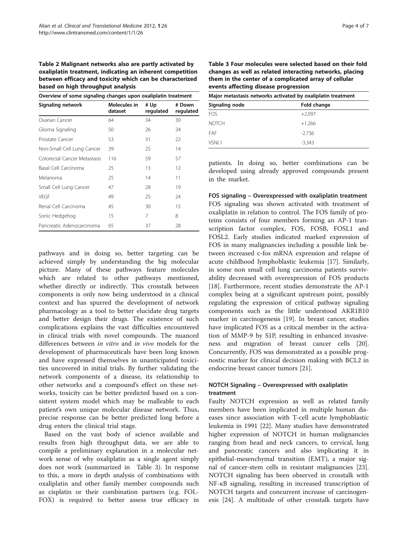<span id="page-3-0"></span>Table 2 Malignant networks also are partly activated by oxaliplatin treatment, indicating an inherent competition between efficacy and toxicity which can be characterized based on high throughput analysis

| Overview of some signaling changes upon oxaliplatin treatment |                         |                   |                     |
|---------------------------------------------------------------|-------------------------|-------------------|---------------------|
| Signaling network                                             | Molecules in<br>dataset | # Up<br>regulated | # Down<br>regulated |
| Ovarian Cancer                                                | 64                      | 34                | 30                  |
| Glioma Signaling                                              | 50                      | 26                | 24                  |
| Prostate Cancer                                               | 53                      | 31                | 22                  |
| Non-Small Cell Lung Cancer                                    | 39                      | 25                | 14                  |
| Colorectal Cancer Metastasis                                  | 116                     | 59                | 57                  |
| Basal Cell Carcinoma                                          | 25                      | 13                | 12                  |
| Melanoma                                                      | 25                      | 14                | 11                  |
| Small Cell Lung Cancer                                        | 47                      | 28                | 19                  |
| VFGF                                                          | 49                      | 25                | 24                  |
| Renal Cell Carcinoma                                          | 45                      | 30                | 15                  |
| Sonic Hedgehog                                                | 15                      | 7                 | 8                   |
| Pancreatic Adenocarcinoma                                     | 65                      | 37                | 28                  |

pathways and in doing so, better targeting can be achieved simply by understanding the big molecular picture. Many of these pathways feature molecules which are related to other pathways mentioned, whether directly or indirectly. This crosstalk between components is only now being understood in a clinical context and has spurred the development of network pharmacology as a tool to better elucidate drug targets and better design their drugs. The existence of such complications explains the vast difficulties encountered in clinical trials with novel compounds. The nuanced differences between in vitro and in vivo models for the development of pharmaceuticals have been long known and have expressed themselves in unanticipated toxicities uncovered in initial trials. By further validating the network components of a disease, its relationship to other networks and a compound's effect on these networks, toxicity can be better predicted based on a consistent system model which may be malleable to each patient's own unique molecular disease network. Thus, precise response can be better predicted long before a drug enters the clinical trial stage.

Based on the vast body of science available and results from high throughput data, we are able to compile a preliminary explanation in a molecular network sense of why oxaliplatin as a single agent simply does not work (summarized in Table 3). In response to this, a more in depth analysis of combinations with oxaliplatin and other family member compounds such as cisplatin or their combination partners (e.g. FOL-FOX) is required to better assess true efficacy in

| Table 3 Four molecules were selected based on their fold |
|----------------------------------------------------------|
| changes as well as related interacting networks, placing |
| them in the center of a complicated array of cellular    |
| events affecting disease progression                     |

| Major metastasis networks activated by oxaliplatin treatment |             |  |
|--------------------------------------------------------------|-------------|--|
| Signaling node                                               | Fold change |  |
| <b>FOS</b>                                                   | $+2.097$    |  |
| <b>NOTCH</b>                                                 | $+1.266$    |  |
| FAF                                                          | $-2.736$    |  |
| VSNI 1                                                       | $-3343$     |  |

patients. In doing so, better combinations can be developed using already approved compounds present in the market.

## FOS signaling – Overexpressed with oxaliplatin treatment

FOS signaling was shown activated with treatment of oxaliplatin in relation to control. The FOS family of proteins consists of four members forming an AP-1 transcription factor complex, FOS, FOSB, FOSL1 and FOSL2. Early studies indicated marked expression of FOS in many malignancies including a possible link between increased c-fos mRNA expression and relapse of acute childhood lymphoblastic leukemia [\[17\]](#page-5-0). Similarly, in some non small cell lung carcinoma patients survivability decreased with overexpression of FOS products [[18\]](#page-6-0). Furthermore, recent studies demonstrate the AP-1 complex being at a significant upstream point, possibly regulating the expression of critical pathway signaling components such as the little understood AKR1B10 marker in carcinogenesis [[19\]](#page-6-0). In breast cancer, studies have implicated FOS as a critical member in the activation of MMP-9 by S1P, resulting in enhanced invasiveness and migration of breast cancer cells [\[20](#page-6-0)]. Concurrently, FOS was demonstrated as a possible prognostic marker for clinical decision making with BCL2 in endocrine breast cancer tumors [[21\]](#page-6-0).

## NOTCH Signaling – Overexpressed with oxaliplatin treatment

Faulty NOTCH expression as well as related family members have been implicated in multiple human diseases since association with T-cell acute lymphoblastic leukemia in 1991 [[22\]](#page-6-0). Many studies have demonstrated higher expression of NOTCH in human malignancies ranging from head and neck cancers, to cervical, lung and pancreatic cancers and also implicating it in epithelial-mesenchymal transition (EMT), a major signal of cancer-stem cells in resistant malignancies [\[23](#page-6-0)]. NOTCH signaling has been observed in crosstalk with NF-κB signaling, resulting in increased transcription of NOTCH targets and concurrent increase of carcinogenesis [[24\]](#page-6-0). A multitude of other crosstalk targets have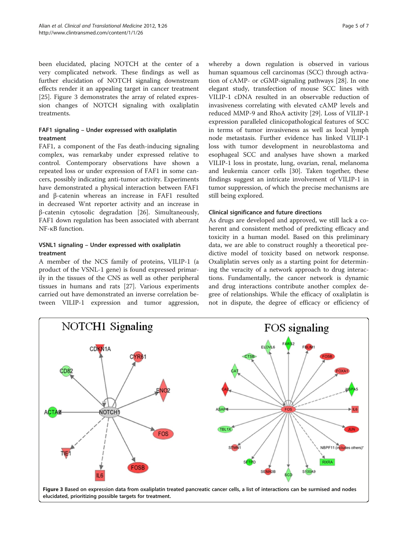been elucidated, placing NOTCH at the center of a very complicated network. These findings as well as further elucidation of NOTCH signaling downstream effects render it an appealing target in cancer treatment [[25\]](#page-6-0). Figure 3 demonstrates the array of related expression changes of NOTCH signaling with oxaliplatin treatments.

# FAF1 signaling – Under expressed with oxaliplatin treatment

FAF1, a component of the Fas death-inducing signaling complex, was remarkaby under expressed relative to control. Contemporary observations have shown a repeated loss or under expression of FAF1 in some cancers, possibly indicating anti-tumor activity. Experiments have demonstrated a physical interaction between FAF1 and β-catenin whereas an increase in FAF1 resulted in decreased Wnt reporter activity and an increase in β-catenin cytosolic degradation [[26\]](#page-6-0). Simultaneously, FAF1 down regulation has been associated with aberrant NF-κB function.

# VSNL1 signaling – Under expressed with oxaliplatin treatment

A member of the NCS family of proteins, VILIP-1 (a product of the VSNL-1 gene) is found expressed primarily in the tissues of the CNS as well as other peripheral tissues in humans and rats [[27\]](#page-6-0). Various experiments carried out have demonstrated an inverse correlation between VILIP-1 expression and tumor aggression,

whereby a down regulation is observed in various human squamous cell carcinomas (SCC) through activation of cAMP- or cGMP-signaling pathways [\[28](#page-6-0)]. In one elegant study, transfection of mouse SCC lines with VILIP-1 cDNA resulted in an observable reduction of invasiveness correlating with elevated cAMP levels and reduced MMP-9 and RhoA activity [\[29](#page-6-0)]. Loss of VILIP-1 expression paralleled clinicopathological features of SCC in terms of tumor invasiveness as well as local lymph node metastasis. Further evidence has linked VILIP-1 loss with tumor development in neuroblastoma and esophageal SCC and analyses have shown a marked VILIP-1 loss in prostate, lung, ovarian, renal, melanoma and leukemia cancer cells [[30\]](#page-6-0). Taken together, these findings suggest an intricate involvement of VILIP-1 in tumor suppression, of which the precise mechanisms are still being explored.

# Clinical significance and future directions

As drugs are developed and approved, we still lack a coherent and consistent method of predicting efficacy and toxicity in a human model. Based on this preliminary data, we are able to construct roughly a theoretical predictive model of toxicity based on network response. Oxaliplatin serves only as a starting point for determining the veracity of a network approach to drug interactions. Fundamentally, the cancer network is dynamic and drug interactions contribute another complex degree of relationships. While the efficacy of oxaliplatin is not in dispute, the degree of efficacy or efficiency of

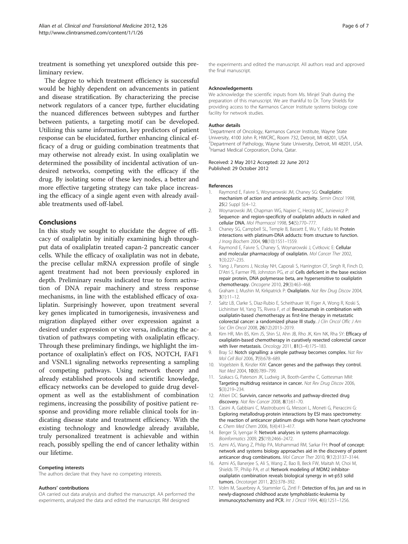<span id="page-5-0"></span>treatment is something yet unexplored outside this preliminary review.

The degree to which treatment efficiency is successful would be highly dependent on advancements in patient and disease stratification. By characterizing the precise network regulators of a cancer type, further elucidating the nuanced differences between subtypes and further between patients, a targeting motif can be developed. Utilizing this same information, key predictors of patient response can be elucidated, further enhancing clinical efficacy of a drug or guiding combination treatments that may otherwise not already exist. In using oxaliplatin we determined the possibility of incidental activation of undesired networks, competing with the efficacy if the drug. By isolating some of these key nodes, a better and more effective targeting strategy can take place increasing the efficacy of a single agent even with already available treatments used off-label.

#### Conclusions

In this study we sought to elucidate the degree of efficacy of oxaliplatin by initially examining high throughput data of oxaliplatin treated capan-2 pancreatic cancer cells. While the efficacy of oxaliplatin was not in debate, the precise cellular mRNA expression profile of single agent treatment had not been previously explored in depth. Preliminary results indicated true to form activation of DNA repair machinery and stress response mechanisms, in line with the established efficacy of oxaliplatin. Surprisingly however, upon treatment several key genes implicated in tumorigenesis, invasiveness and migration displayed either over expression against a desired under expression or vice versa, indicating the activation of pathways competing with oxaliplatin efficacy. Through these preliminary findings, we highlight the importance of oxaliplatin's effect on FOS, NOTCH, FAF1 and VSNL1 signaling networks representing a sampling of competing pathways. Using network theory and already established protocols and scientific knowledge, efficacy networks can be developed to guide drug development as well as the establishment of combination regimens, increasing the possibility of positive patient response and providing more reliable clinical tools for indicating disease state and treatment efficiency. With the existing technology and knowledge already available, truly personalized treatment is achievable and within reach, possibly spelling the end of cancer lethality within our lifetime.

#### Competing interests

The authors declare that they have no competing interests.

#### Authors' contributions

OA carried out data analysis and drafted the manuscript. AA performed the experiments, analyzed the data and edited the manuscript. RM designed

the experiments and edited the manuscript. All authors read and approved the final manuscript.

#### Acknowledgements

We acknowledge the scientific inputs from Ms. Minjel Shah during the preparation of this manuscript. We are thankful to Dr. Tony Shields for providing access to the Karmanos Cancer Institute systems biology core facility for network studies.

#### Author details

<sup>1</sup>Department of Oncology, Karmanos Cancer Institute, Wayne State University, 4100 John R, HWCRC, Room 732, Detroit, MI 48201, USA. <sup>2</sup> Department of Pathology, Wayne State University, Detroit, MI 48201, USA 3 Hamad Medical Corporation, Doha, Qatar.

Received: 2 May 2012 Accepted: 22 June 2012 Published: 29 October 2012

#### References

- 1. Raymond E, Faivre S, Woynarowski JM, Chaney SG: Oxaliplatin: mechanism of action and antineoplastic activity. Semin Oncol 1998, 25(2 Suppl 5):4–12.
- 2. Woynarowski JM, Chapman WG, Napier C, Herzig MC, Juniewicz P: Sequence- and region-specificity of oxaliplatin adducts in naked and cellular DNA. Mol Pharmacol 1998, 54(5):770–777.
- 3. Chaney SG, Campbell SL, Temple B, Bassett E, Wu Y, Faldu M: Protein interactions with platinum-DNA adducts: from structure to function. J Inorg Biochem 2004, 98(10):1551–1559.
- 4. Raymond E, Faivre S, Chaney S, Woynarowski J, Cvitkovic E: Cellular and molecular pharmacology of oxaliplatin. Mol Cancer Ther 2002, 1(3):227–235.
- 5. Yang J, Parsons J, Nicolay NH, Caporali S, Harrington CF, Singh R, Finch D, D'Atri S, Farmer PB, Johnston PG, et al: Cells deficient in the base excision repair protein, DNA polymerase beta, are hypersensitive to oxaliplatin chemotherapy. Oncogene 2010, 29(3):463–468.
- 6. Graham J, Mushin M, Kirkpatrick P: Oxaliplatin. Nat Rev Drug Discov 2004,  $3(1):11-12.$
- 7. Saltz LB, Clarke S, Diaz-Rubio E, Scheithauer W, Figer A, Wong R, Koski S, Lichinitser M, Yang TS, Rivera F, et al: Bevacizumab in combination with oxaliplatin-based chemotherapy as first-line therapy in metastatic colorectal cancer: a randomized phase III study. J Clin Oncol Offic J Am Soc Clin Oncol 2008, 26(12):2013–2019.
- 8. Kim HR, Min BS, Kim JS, Shin SJ, Ahn JB, Rho JK, Kim NK, Rha SY: Efficacy of oxaliplatin-based chemotherapy in curatively resected colorectal cancer with liver metastasis. Oncology 2011, 81(3–4):175–183.
- 9. Bray SJ: Notch signalling: a simple pathway becomes complex. Nat Rev Mol Cell Biol 2006, 7(9):678–689.
- 10. Vogelstein B, Kinzler KW: Cancer genes and the pathways they control. Nat Med 2004, 10(8):789–799.
- 11. Szakacs G, Paterson JK, Ludwig JA, Booth-Genthe C, Gottesman MM: Targeting multidrug resistance in cancer. Nat Rev Drug Discov 2006, 5(3):219–234.
- 12. Altieri DC: Survivin, cancer networks and pathway-directed drug discovery. Nat Rev Cancer 2008, 8(1):61-70.
- 13. Casini A, Gabbiani C, Mastrobuoni G, Messori L, Moneti G, Pieraccini G: Exploring metallodrug-protein interactions by ESI mass spectrometry: the reaction of anticancer platinum drugs with horse heart cytochrome c. Chem Med Chem 2006, 1(4):413–417.
- 14. Berger SI, Iyengar R: Network analyses in systems pharmacology. Bioinformatics 2009, 25(19):2466–2472.
- 15. Azmi AS, Wang Z, Philip PA, Mohammad RM, Sarkar FH: Proof of concept: network and systems biology approaches aid in the discovery of potent anticancer drug combinations. Mol Cancer Ther 2010, 9(12):3137–3144.
- 16. Azmi AS, Banerjee S, Ali S, Wang Z, Bao B, Beck FW, Maitah M, Choi M, Shields TF, Philip PA, et al: Network modeling of MDM2 inhibitoroxaliplatin combination reveals biological synergy in wt-p53 solid tumors. Oncotarget 2011, 2(5):378–392.
- 17. Volm M, Sauerbrey A, Stammler G, Zintl F: Detection of fos, jun and ras in newly-diagnosed childhood acute lymphoblastic-leukemia by immunocytochemistry and PCR. Int J Oncol 1994, 4(6):1251-1256.